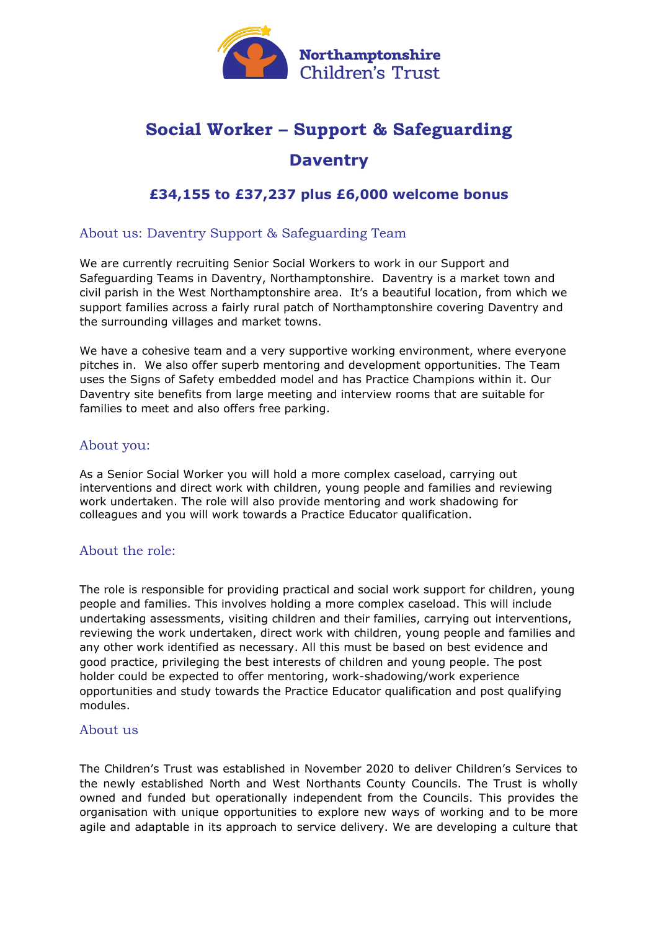

# **Social Worker – Support & Safeguarding Daventry**

## **£34,155 to £37,237 plus £6,000 welcome bonus**

#### About us: Daventry Support & Safeguarding Team

We are currently recruiting Senior Social Workers to work in our Support and Safeguarding Teams in Daventry, Northamptonshire. Daventry is a market town and civil parish in the West Northamptonshire area. It's a beautiful location, from which we support families across a fairly rural patch of Northamptonshire covering Daventry and the surrounding villages and market towns.

We have a cohesive team and a very supportive working environment, where everyone pitches in. We also offer superb mentoring and development opportunities. The Team uses the Signs of Safety embedded model and has Practice Champions within it. Our Daventry site benefits from large meeting and interview rooms that are suitable for families to meet and also offers free parking.

#### About you:

As a Senior Social Worker you will hold a more complex caseload, carrying out interventions and direct work with children, young people and families and reviewing work undertaken. The role will also provide mentoring and work shadowing for colleagues and you will work towards a Practice Educator qualification.

#### About the role:

The role is responsible for providing practical and social work support for children, young people and families. This involves holding a more complex caseload. This will include undertaking assessments, visiting children and their families, carrying out interventions, reviewing the work undertaken, direct work with children, young people and families and any other work identified as necessary. All this must be based on best evidence and good practice, privileging the best interests of children and young people. The post holder could be expected to offer mentoring, work-shadowing/work experience opportunities and study towards the Practice Educator qualification and post qualifying modules.

#### About us

The Children's Trust was established in November 2020 to deliver Children's Services to the newly established North and West Northants County Councils. The Trust is wholly owned and funded but operationally independent from the Councils. This provides the organisation with unique opportunities to explore new ways of working and to be more agile and adaptable in its approach to service delivery. We are developing a culture that